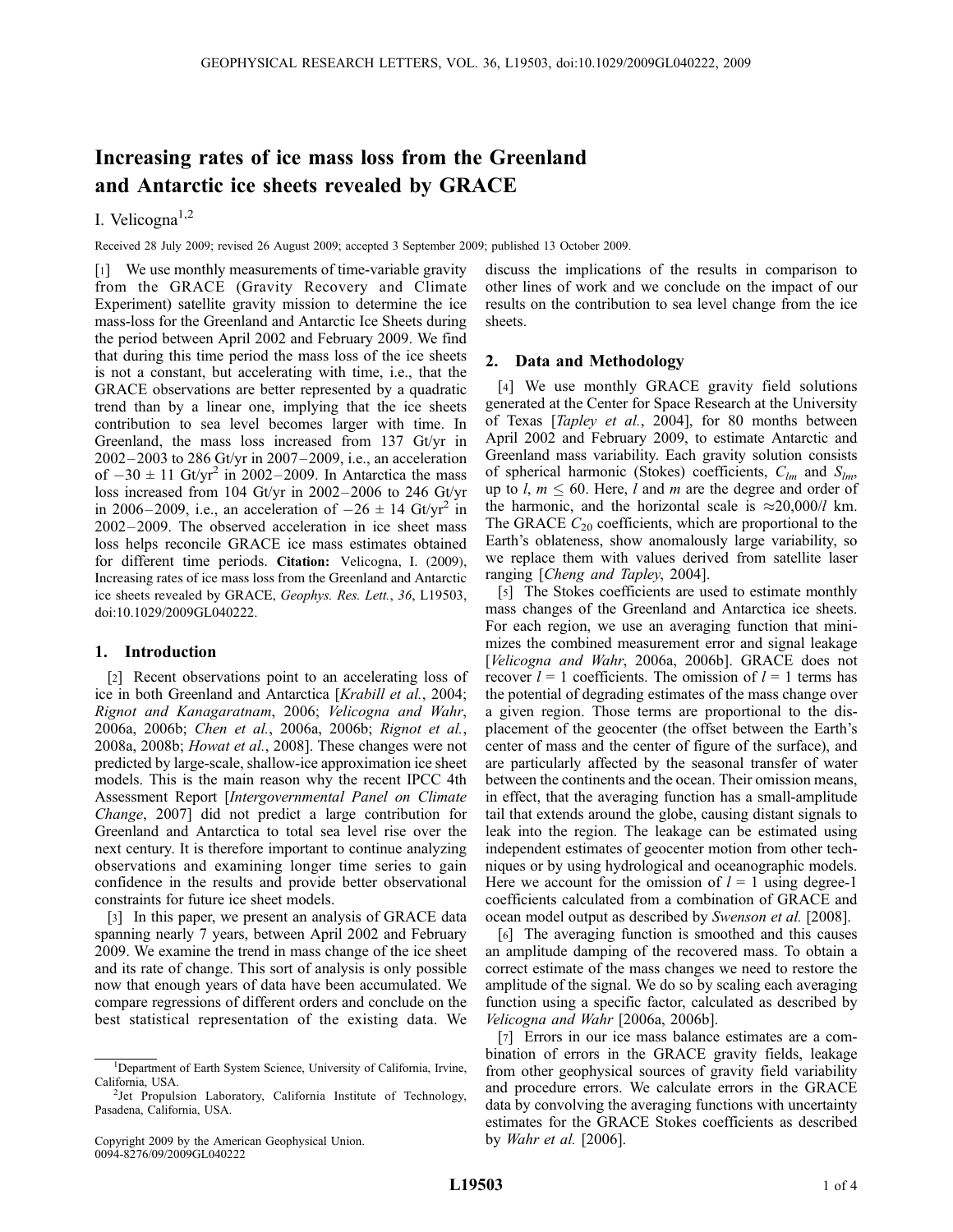# Increasing rates of ice mass loss from the Greenland and Antarctic ice sheets revealed by GRACE

# I. Velicogna $^{1,2}$

Received 28 July 2009; revised 26 August 2009; accepted 3 September 2009; published 13 October 2009.

[1] We use monthly measurements of time-variable gravity from the GRACE (Gravity Recovery and Climate Experiment) satellite gravity mission to determine the ice mass-loss for the Greenland and Antarctic Ice Sheets during the period between April 2002 and February 2009. We find that during this time period the mass loss of the ice sheets is not a constant, but accelerating with time, i.e., that the GRACE observations are better represented by a quadratic trend than by a linear one, implying that the ice sheets contribution to sea level becomes larger with time. In Greenland, the mass loss increased from 137 Gt/yr in 2002 – 2003 to 286 Gt/yr in 2007 –2009, i.e., an acceleration of  $-30 \pm 11$  Gt/yr<sup>2</sup> in 2002–2009. In Antarctica the mass loss increased from 104 Gt/yr in 2002– 2006 to 246 Gt/yr in 2006–2009, i.e., an acceleration of  $-26 \pm 14$  Gt/yr<sup>2</sup> in 2002 – 2009. The observed acceleration in ice sheet mass loss helps reconcile GRACE ice mass estimates obtained for different time periods. Citation: Velicogna, I. (2009), Increasing rates of ice mass loss from the Greenland and Antarctic ice sheets revealed by GRACE, Geophys. Res. Lett., 36, L19503, doi:10.1029/2009GL040222.

# 1. Introduction

[2] Recent observations point to an accelerating loss of ice in both Greenland and Antarctica [Krabill et al., 2004; Rignot and Kanagaratnam, 2006; Velicogna and Wahr, 2006a, 2006b; Chen et al., 2006a, 2006b; Rignot et al., 2008a, 2008b; Howat et al., 2008]. These changes were not predicted by large-scale, shallow-ice approximation ice sheet models. This is the main reason why the recent IPCC 4th Assessment Report [Intergovernmental Panel on Climate Change, 2007] did not predict a large contribution for Greenland and Antarctica to total sea level rise over the next century. It is therefore important to continue analyzing observations and examining longer time series to gain confidence in the results and provide better observational constraints for future ice sheet models.

[3] In this paper, we present an analysis of GRACE data spanning nearly 7 years, between April 2002 and February 2009. We examine the trend in mass change of the ice sheet and its rate of change. This sort of analysis is only possible now that enough years of data have been accumulated. We compare regressions of different orders and conclude on the best statistical representation of the existing data. We

discuss the implications of the results in comparison to other lines of work and we conclude on the impact of our results on the contribution to sea level change from the ice sheets.

# 2. Data and Methodology

[4] We use monthly GRACE gravity field solutions generated at the Center for Space Research at the University of Texas [Tapley et al., 2004], for 80 months between April 2002 and February 2009, to estimate Antarctic and Greenland mass variability. Each gravity solution consists of spherical harmonic (Stokes) coefficients,  $C_{lm}$  and  $S_{lm}$ , up to l,  $m \leq 60$ . Here, l and m are the degree and order of the harmonic, and the horizontal scale is  $\approx 20,000/l$  km. The GRACE  $C_{20}$  coefficients, which are proportional to the Earth's oblateness, show anomalously large variability, so we replace them with values derived from satellite laser ranging [Cheng and Tapley, 2004].

[5] The Stokes coefficients are used to estimate monthly mass changes of the Greenland and Antarctica ice sheets. For each region, we use an averaging function that minimizes the combined measurement error and signal leakage [Velicogna and Wahr, 2006a, 2006b]. GRACE does not recover  $l = 1$  coefficients. The omission of  $l = 1$  terms has the potential of degrading estimates of the mass change over a given region. Those terms are proportional to the displacement of the geocenter (the offset between the Earth's center of mass and the center of figure of the surface), and are particularly affected by the seasonal transfer of water between the continents and the ocean. Their omission means, in effect, that the averaging function has a small-amplitude tail that extends around the globe, causing distant signals to leak into the region. The leakage can be estimated using independent estimates of geocenter motion from other techniques or by using hydrological and oceanographic models. Here we account for the omission of  $l = 1$  using degree-1 coefficients calculated from a combination of GRACE and ocean model output as described by Swenson et al. [2008].

[6] The averaging function is smoothed and this causes an amplitude damping of the recovered mass. To obtain a correct estimate of the mass changes we need to restore the amplitude of the signal. We do so by scaling each averaging function using a specific factor, calculated as described by Velicogna and Wahr [2006a, 2006b].

[7] Errors in our ice mass balance estimates are a combination of errors in the GRACE gravity fields, leakage from other geophysical sources of gravity field variability and procedure errors. We calculate errors in the GRACE data by convolving the averaging functions with uncertainty estimates for the GRACE Stokes coefficients as described by Wahr et al. [2006].

<sup>&</sup>lt;sup>1</sup>Department of Earth System Science, University of California, Irvine, California, USA. <sup>2</sup>

<sup>&</sup>lt;sup>2</sup>Jet Propulsion Laboratory, California Institute of Technology, Pasadena, California, USA.

Copyright 2009 by the American Geophysical Union. 0094-8276/09/2009GL040222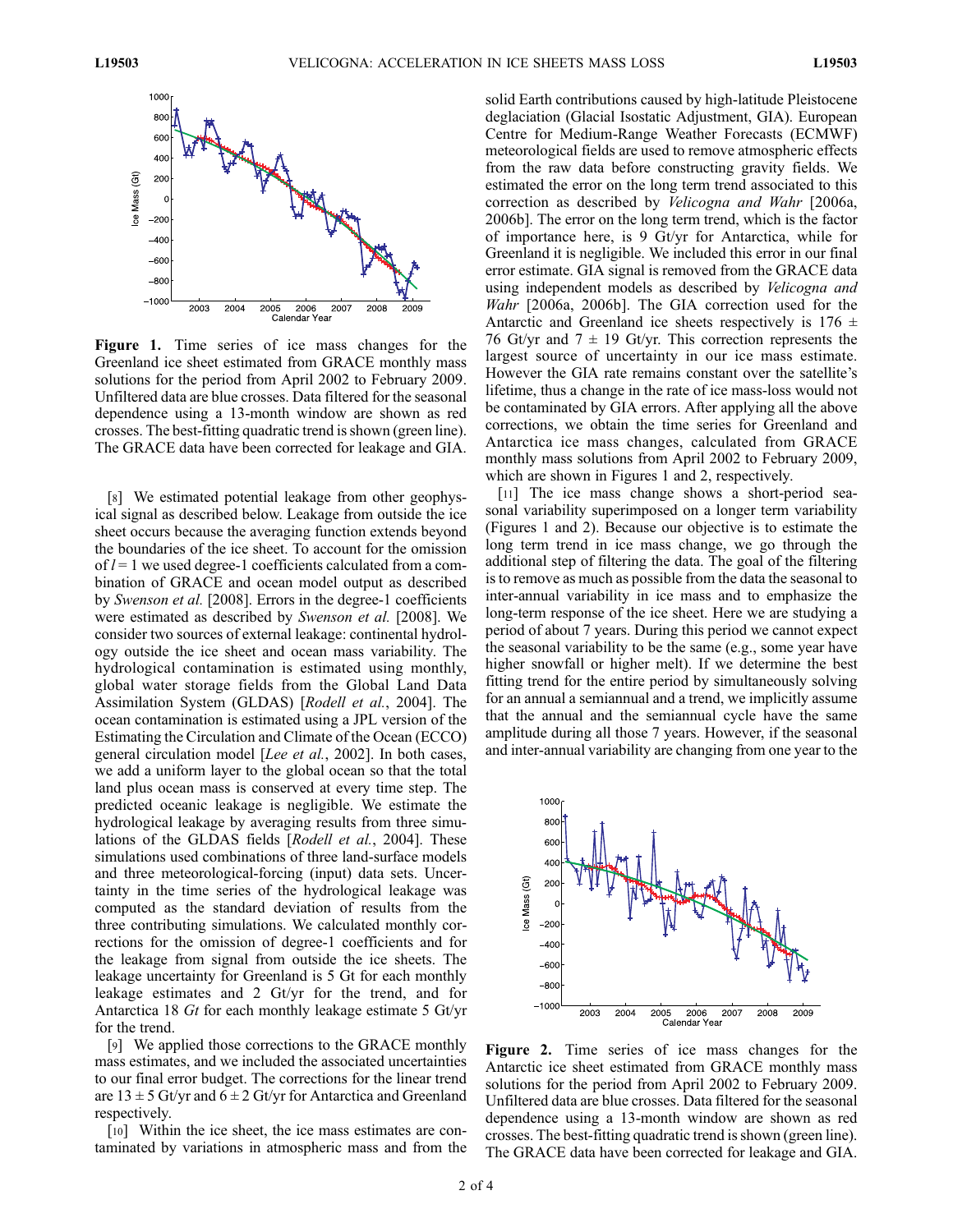

Figure 1. Time series of ice mass changes for the Greenland ice sheet estimated from GRACE monthly mass solutions for the period from April 2002 to February 2009. Unfiltered data are blue crosses. Data filtered for the seasonal dependence using a 13-month window are shown as red crosses. The best-fitting quadratic trend is shown (green line). The GRACE data have been corrected for leakage and GIA.

[8] We estimated potential leakage from other geophysical signal as described below. Leakage from outside the ice sheet occurs because the averaging function extends beyond the boundaries of the ice sheet. To account for the omission of  $l = 1$  we used degree-1 coefficients calculated from a combination of GRACE and ocean model output as described by Swenson et al. [2008]. Errors in the degree-1 coefficients were estimated as described by Swenson et al. [2008]. We consider two sources of external leakage: continental hydrology outside the ice sheet and ocean mass variability. The hydrological contamination is estimated using monthly, global water storage fields from the Global Land Data Assimilation System (GLDAS) [Rodell et al., 2004]. The ocean contamination is estimated using a JPL version of the Estimating the Circulation and Climate of the Ocean (ECCO) general circulation model [Lee et al., 2002]. In both cases, we add a uniform layer to the global ocean so that the total land plus ocean mass is conserved at every time step. The predicted oceanic leakage is negligible. We estimate the hydrological leakage by averaging results from three simulations of the GLDAS fields [Rodell et al., 2004]. These simulations used combinations of three land-surface models and three meteorological-forcing (input) data sets. Uncertainty in the time series of the hydrological leakage was computed as the standard deviation of results from the three contributing simulations. We calculated monthly corrections for the omission of degree-1 coefficients and for the leakage from signal from outside the ice sheets. The leakage uncertainty for Greenland is 5 Gt for each monthly leakage estimates and 2 Gt/yr for the trend, and for Antarctica 18 Gt for each monthly leakage estimate 5 Gt/yr for the trend.

[9] We applied those corrections to the GRACE monthly mass estimates, and we included the associated uncertainties to our final error budget. The corrections for the linear trend are  $13 \pm 5$  Gt/yr and  $6 \pm 2$  Gt/yr for Antarctica and Greenland respectively.

[10] Within the ice sheet, the ice mass estimates are contaminated by variations in atmospheric mass and from the solid Earth contributions caused by high-latitude Pleistocene deglaciation (Glacial Isostatic Adjustment, GIA). European Centre for Medium-Range Weather Forecasts (ECMWF) meteorological fields are used to remove atmospheric effects from the raw data before constructing gravity fields. We estimated the error on the long term trend associated to this correction as described by Velicogna and Wahr [2006a, 2006b]. The error on the long term trend, which is the factor of importance here, is 9 Gt/yr for Antarctica, while for Greenland it is negligible. We included this error in our final error estimate. GIA signal is removed from the GRACE data using independent models as described by Velicogna and Wahr [2006a, 2006b]. The GIA correction used for the Antarctic and Greenland ice sheets respectively is  $176 \pm$ 76 Gt/yr and  $7 \pm 19$  Gt/yr. This correction represents the largest source of uncertainty in our ice mass estimate. However the GIA rate remains constant over the satellite's lifetime, thus a change in the rate of ice mass-loss would not be contaminated by GIA errors. After applying all the above corrections, we obtain the time series for Greenland and Antarctica ice mass changes, calculated from GRACE monthly mass solutions from April 2002 to February 2009, which are shown in Figures 1 and 2, respectively.

[11] The ice mass change shows a short-period seasonal variability superimposed on a longer term variability (Figures 1 and 2). Because our objective is to estimate the long term trend in ice mass change, we go through the additional step of filtering the data. The goal of the filtering is to remove as much as possible from the data the seasonal to inter-annual variability in ice mass and to emphasize the long-term response of the ice sheet. Here we are studying a period of about 7 years. During this period we cannot expect the seasonal variability to be the same (e.g., some year have higher snowfall or higher melt). If we determine the best fitting trend for the entire period by simultaneously solving for an annual a semiannual and a trend, we implicitly assume that the annual and the semiannual cycle have the same amplitude during all those 7 years. However, if the seasonal and inter-annual variability are changing from one year to the



Figure 2. Time series of ice mass changes for the Antarctic ice sheet estimated from GRACE monthly mass solutions for the period from April 2002 to February 2009. Unfiltered data are blue crosses. Data filtered for the seasonal dependence using a 13-month window are shown as red crosses. The best-fitting quadratic trend is shown (green line). The GRACE data have been corrected for leakage and GIA.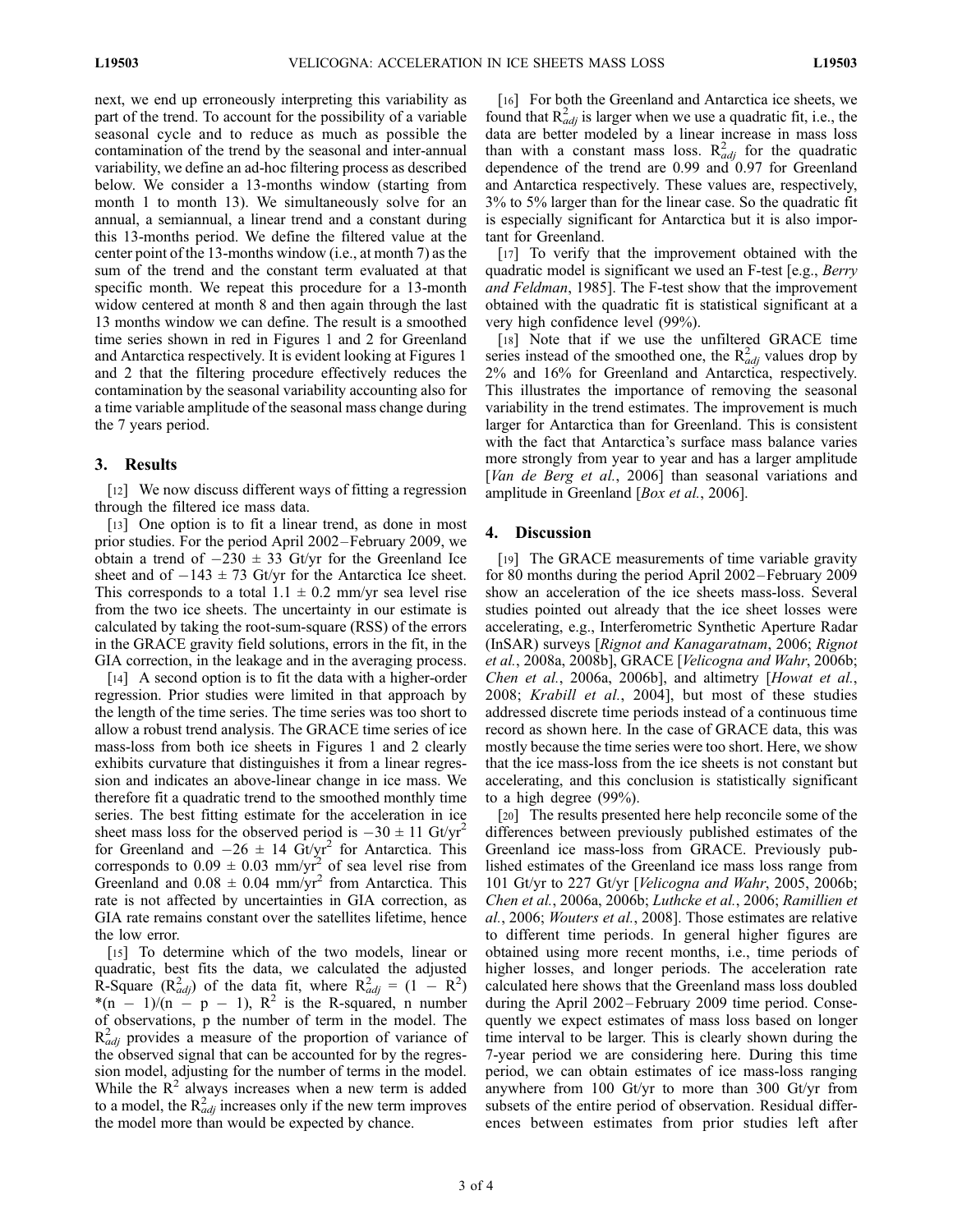next, we end up erroneously interpreting this variability as part of the trend. To account for the possibility of a variable seasonal cycle and to reduce as much as possible the contamination of the trend by the seasonal and inter-annual variability, we define an ad-hoc filtering process as described below. We consider a 13-months window (starting from month 1 to month 13). We simultaneously solve for an annual, a semiannual, a linear trend and a constant during this 13-months period. We define the filtered value at the center point of the 13-months window (i.e., at month 7) as the sum of the trend and the constant term evaluated at that specific month. We repeat this procedure for a 13-month widow centered at month 8 and then again through the last 13 months window we can define. The result is a smoothed time series shown in red in Figures 1 and 2 for Greenland and Antarctica respectively. It is evident looking at Figures 1 and 2 that the filtering procedure effectively reduces the contamination by the seasonal variability accounting also for a time variable amplitude of the seasonal mass change during the 7 years period.

#### 3. Results

[12] We now discuss different ways of fitting a regression through the filtered ice mass data.

[13] One option is to fit a linear trend, as done in most prior studies. For the period April 2002–February 2009, we obtain a trend of  $-230 \pm 33$  Gt/yr for the Greenland Ice sheet and of  $-143 \pm 73$  Gt/yr for the Antarctica Ice sheet. This corresponds to a total  $1.1 \pm 0.2$  mm/yr sea level rise from the two ice sheets. The uncertainty in our estimate is calculated by taking the root-sum-square (RSS) of the errors in the GRACE gravity field solutions, errors in the fit, in the GIA correction, in the leakage and in the averaging process.

[14] A second option is to fit the data with a higher-order regression. Prior studies were limited in that approach by the length of the time series. The time series was too short to allow a robust trend analysis. The GRACE time series of ice mass-loss from both ice sheets in Figures 1 and 2 clearly exhibits curvature that distinguishes it from a linear regression and indicates an above-linear change in ice mass. We therefore fit a quadratic trend to the smoothed monthly time series. The best fitting estimate for the acceleration in ice sheet mass loss for the observed period is  $-30 \pm 11$  Gt/yr<sup>2</sup> for Greenland and  $-26 \pm 14$  Gt/yr<sup>2</sup> for Antarctica. This corresponds to  $0.09 \pm 0.03$  mm/yr<sup>2</sup> of sea level rise from Greenland and  $0.08 \pm 0.04$  mm/yr<sup>2</sup> from Antarctica. This rate is not affected by uncertainties in GIA correction, as GIA rate remains constant over the satellites lifetime, hence the low error.

[15] To determine which of the two models, linear or quadratic, best fits the data, we calculated the adjusted R-Square  $(R_{adj}^2)$  of the data fit, where  $R_{adj}^2 = (1 - R^2)$ \*(n - 1)/(n - p - 1),  $R^2$  is the R-squared, n number of observations, p the number of term in the model. The  $R_{adj}^2$  provides a measure of the proportion of variance of the observed signal that can be accounted for by the regression model, adjusting for the number of terms in the model. While the  $R^2$  always increases when a new term is added to a model, the  $R_{adj}^2$  increases only if the new term improves the model more than would be expected by chance.

[16] For both the Greenland and Antarctica ice sheets, we found that  $R_{adj}^2$  is larger when we use a quadratic fit, i.e., the data are better modeled by a linear increase in mass loss than with a constant mass loss.  $R_{adj}^2$  for the quadratic dependence of the trend are 0.99 and 0.97 for Greenland and Antarctica respectively. These values are, respectively, 3% to 5% larger than for the linear case. So the quadratic fit is especially significant for Antarctica but it is also important for Greenland.

[17] To verify that the improvement obtained with the quadratic model is significant we used an F-test [e.g., Berry and Feldman, 1985]. The F-test show that the improvement obtained with the quadratic fit is statistical significant at a very high confidence level (99%).

[18] Note that if we use the unfiltered GRACE time series instead of the smoothed one, the  $R_{adj}^2$  values drop by 2% and 16% for Greenland and Antarctica, respectively. This illustrates the importance of removing the seasonal variability in the trend estimates. The improvement is much larger for Antarctica than for Greenland. This is consistent with the fact that Antarctica's surface mass balance varies more strongly from year to year and has a larger amplitude [Van de Berg et al., 2006] than seasonal variations and amplitude in Greenland [*Box et al.*, 2006].

# 4. Discussion

[19] The GRACE measurements of time variable gravity for 80 months during the period April 2002–February 2009 show an acceleration of the ice sheets mass-loss. Several studies pointed out already that the ice sheet losses were accelerating, e.g., Interferometric Synthetic Aperture Radar (InSAR) surveys [Rignot and Kanagaratnam, 2006; Rignot et al., 2008a, 2008b], GRACE [Velicogna and Wahr, 2006b; Chen et al., 2006a, 2006b], and altimetry [Howat et al., 2008; Krabill et al., 2004], but most of these studies addressed discrete time periods instead of a continuous time record as shown here. In the case of GRACE data, this was mostly because the time series were too short. Here, we show that the ice mass-loss from the ice sheets is not constant but accelerating, and this conclusion is statistically significant to a high degree (99%).

[20] The results presented here help reconcile some of the differences between previously published estimates of the Greenland ice mass-loss from GRACE. Previously published estimates of the Greenland ice mass loss range from 101 Gt/yr to 227 Gt/yr [Velicogna and Wahr, 2005, 2006b; Chen et al., 2006a, 2006b; Luthcke et al., 2006; Ramillien et al., 2006; Wouters et al., 2008]. Those estimates are relative to different time periods. In general higher figures are obtained using more recent months, i.e., time periods of higher losses, and longer periods. The acceleration rate calculated here shows that the Greenland mass loss doubled during the April 2002 –February 2009 time period. Consequently we expect estimates of mass loss based on longer time interval to be larger. This is clearly shown during the 7-year period we are considering here. During this time period, we can obtain estimates of ice mass-loss ranging anywhere from 100 Gt/yr to more than 300 Gt/yr from subsets of the entire period of observation. Residual differences between estimates from prior studies left after